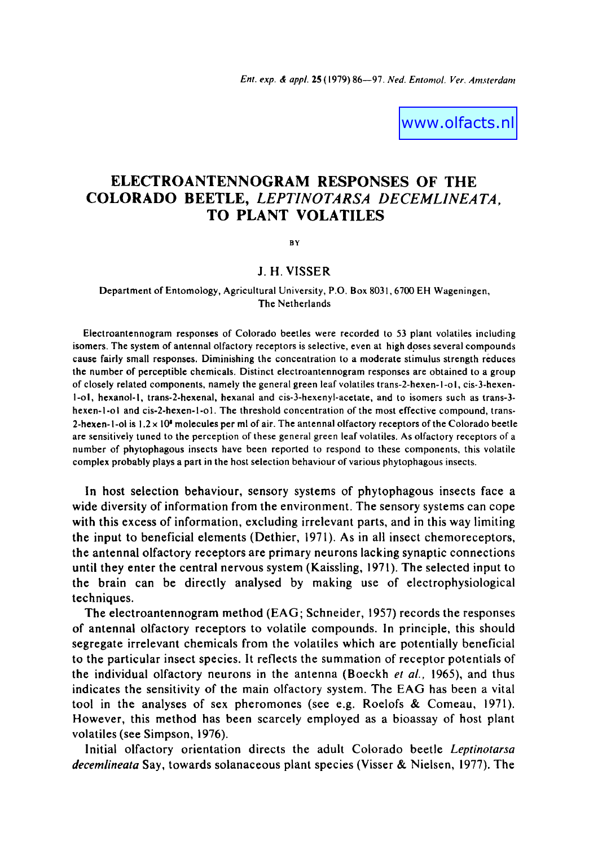www.olfacts.nl

# **ELECTROANTENNOGRAM RESPONSES OF THE COLORADO BEETLE,** *LEPTINOTARSA DECEMLINEATA,*  **TO PLANT VOLATILES**

BY

# **J. H. VISSER**

#### Department of Entomology, Agricultural University, P.O. Box 8031,6700 EH Wageningen, The Netherlands

Electroantennogram responses of Colorado beetles were recorded to 53 plant volatiles including isomers. The system of antennal olfactory receptors is selective, even at high doses several compounds cause fairly small responses. Diminishing the concentration to a moderate stimulus strength reduces the number of perceptible chemicals. Distinct electroantennogram responses are obtained to a group of closely related components, namely the general green leaf volatiles trans-2-hexen-I-ol, cis-3-hexen-I-ol, hexanol-I, trans-2-hexenal, hexanal and cis-3-hexenyl-acetate, and to isomers such as trans-3 hexen-l-ol and cis-2-hexen-l-ol. The threshold concentration of the most effective compound, trans-2-hexen-1-ol is  $1.2 \times 10^8$  molecules per ml of air. The antennal olfactory receptors of the Colorado beetle are sensitively tuned to the perception of these general green leaf volatiles. As olfactory receptors of a number of phytophagous insects have been reported to respond to these components, this volatile complex probably plays a part in the host selection behaviour of various phytophagous insects.

In host selection behaviour, sensory systems of phytophagous insects face a wide diversity of information from the environment. The sensory systems can cope with this excess of information, excluding irrelevant parts, and in this way limiting the input to beneficial elements (Dethier, 1971). As in all insect chemoreceptors, the antennal olfactory receptors are primary neurons lacking synaptic connections until they enter the central nervous system (Kaissling, 1971). The selected input to the brain can be directly analysed by making use of electrophysiological techniques.

The electroantennogram method (EAG; Schneider, 1957) records the responses of antennal olfactory receptors to volatile compounds. In principle, this should segregate irrelevant chemicals from the volatiles which are potentially beneficial to the particular insect species. It reflects the summation of receptor potentials of the individual olfactory neurons in the antenna (Boeckh *et al.,* 1965), and thus indicates the sensitivity of the main olfactory system. The EAG has been a vital tool in the analyses of sex pheromones (see e.g. Roelofs & Comeau, 1971). However, this method has been scarcely employed as a bioassay of host plant volatiles (see Simpson, 1976).

Initial olfactory orientation directs the adult Colorado beetle *Leptinotarsa decemlineata* Say, towards solanaceous plant species (Visser & Nielsen, 1977). The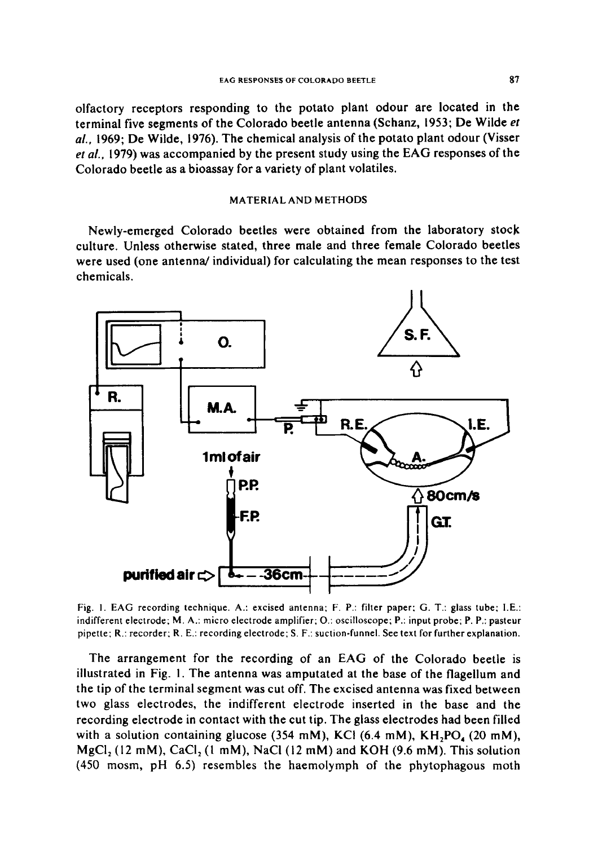olfactory receptors responding to the potato plant odour are located in the terminal five segments of the Colorado beetle antenna (Schanz, 1953; De Wilde *et al.,* 1969; De Wilde, 1976). The chemical analysis of the potato plant odour (Visser *et al.,* 1979) was accompanied by the present study using the EAG responses of the Colorado beetle as a bioassay for a variety of plant volatiles.

# MATERIAL AND METHODS

Newly-emerged Colorado beetles were obtained from the laboratory stock culture. Unless otherwise stated, three male and three female Colorado beetles were used (one antenna/individual) for calculating the mean responses to the test chemicals.



Fig. I. EAG recording technique. A.: excised antenna; F. P.: filter paper; G. T.: glass tube; I.E.: indifferent electrode; M. A.: micro electrode amplifier; O.: oscilloscope; P.: input probe; P. P.: pasteur pipette; R.: recorder; R. E.: recording electrode; S. F.: suction-funnel. See text for further explanation.

The arrangement for the recording of an EAG of the Colorado beetle is illustrated in Fig. I. The antenna was amputated at the base of the flagellum and the tip of the terminal segment was cut off. The excised antenna was fixed between two glass electrodes, the indifferent electrode inserted in the base and the recording electrode in contact with the cut tip. The glass electrodes had been filled with a solution containing glucose  $(354 \text{ mM})$ , KCl  $(6.4 \text{ mM})$ , KH, PO,  $(20 \text{ mM})$ , MgCl,  $(12 \text{ mM})$ , CaCl,  $(1 \text{ mM})$ , NaCl  $(12 \text{ mM})$  and KOH  $(9.6 \text{ mM})$ . This solution (450 mosm, pH 6.5) resembles the haemolymph of the phytophagous moth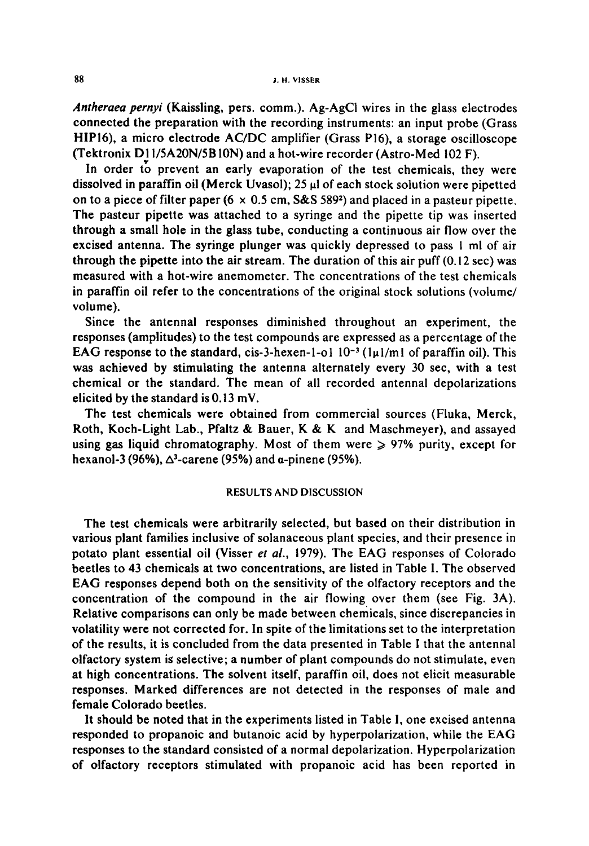*Antheraea pernyi* (Kaissling, pers. comm.). Ag-AgCi wires in the glass electrodes connected the preparation with the recording instruments: an input probe (Grass HIPl6), a micro electrode AC/DC amplifier (Grass Pl6), a storage oscilloscope (Tektronix D11/5A20N/5B10N) and a hot-wire recorder (Astro-Med 102 F).

In order to prevent an early evaporation of the test chemicals, they were dissolved in paraffin oil (Merck Uvasol);  $25 \mu l$  of each stock solution were pipetted on to a piece of filter paper (6  $\times$  0.5 cm, S&S 589<sup>2</sup>) and placed in a pasteur pipette. The pasteur pipette was attached to a syringe and the pipette tip was inserted through a small hole in the glass tube, conducting a continuous air flow over the excised antenna. The syringe plunger was quickly depressed to pass I ml of air through the pipette into the air stream. The duration of this air puff (0.12 sec) was measured with a hot-wire anemometer. The concentrations of the test chemicals in paraffin oil refer to the concentrations of the original stock solutions (volume/ volume).

Since the antennal responses diminished throughout an experiment, the responses (amplitudes) to the test compounds are expressed as a percentage of the EAG response to the standard, cis-3-hexen-l-ol  $10^{-3}$  (1 $\mu$ 1/ml of paraffin oil). This was achieved by stimulating the antenna alternately every 30 see, with a test chemical or the standard. The mean of all recorded antennal depolarizations elicited by the standard is  $0.13$  mV.

The test chemicals were obtained from commercial sources (Fluka, Merck, Roth, Koch-Light Lab., Pfaltz & Bauer, K & K and Maschmeyer), and assayed using gas liquid chromatography. Most of them were  $\geq 97\%$  purity, except for hexanol-3 (96%),  $\Delta^3$ -carene (95%) and  $\alpha$ -pinene (95%).

#### RESULTS AND DISCUSSION

The test chemicals were arbitrarily selected, but based on their distribution in various plant families inclusive of solanaceous plant species, and their presence in potato plant essential oil (Visser *et al.,* 1979). The EAG responses of Colorado beetles to 43 chemicals at two concentrations, are listed in Table I. The observed EAG responses depend both on the sensitivity of the olfactory receptors and the concentration of the compound in the air flowing over them (see Fig. 3A). Relative comparisons can only be made between chemicals, since discrepancies in volatility were not corrected for. In spite of the limitations set to the interpretation of the results, it is concluded from the data presented in Table I that the antennal olfactory system is selective; a number of plant compounds do not stimulate, even at high concentrations. The solvent itself, paraffin oil, does not elicit measurable responses. Marked differences are not detected in the responses of male and female Colorado beetles.

It should be noted that in the experiments listed in Table l, one excised antenna responded to propanoic and butanoic acid by hyperpolarization, while the EAG responses to the standard consisted of a normal depolarization. Hyperpolarization of olfactory receptors stimulated with propanoic acid has been reported in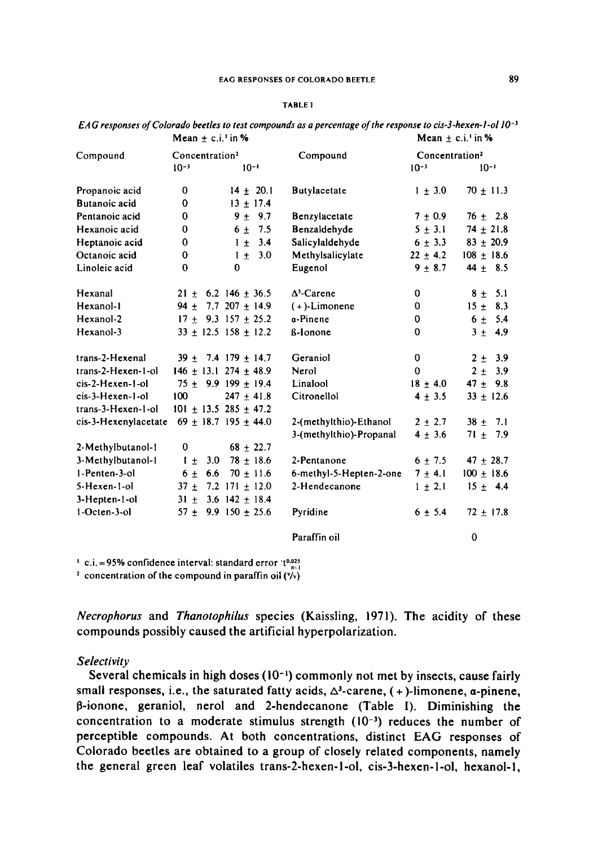#### TABLE I

|                      |                            |     | 1920au 70au 710au             |                         |                            |                |
|----------------------|----------------------------|-----|-------------------------------|-------------------------|----------------------------|----------------|
| Compound             | Concentration <sup>2</sup> |     |                               | Compound                | Concentration <sup>2</sup> |                |
|                      | $10^{-3}$                  |     | $10^{-1}$                     |                         | $10^{-3}$                  | $10-1$         |
| Propanoic acid       | 0                          |     | $14 + 20.1$                   | <b>Butylacetate</b>     | $1 + 3.0$                  | $70 \pm 11.3$  |
| Butanoic acid        | 0                          |     | $13 \pm 17.4$                 |                         |                            |                |
| Pentanoic acid       | 0                          |     | $9 + 9.7$                     | Benzylacetate           | $7 \pm 0.9$                | $76 \pm 2.8$   |
| Hexanoic acid        | 0                          |     | $6 + 7.5$                     | Benzaldehyde            | $5 \pm 3.1$                | $74 \pm 21.8$  |
| Heptanoic acid       | $\mathbf 0$                |     | 3,4<br>$1 +$                  | Salicylaldehyde         | $6 \pm 3.3$                | $83 \pm 20.9$  |
| Octanoic acid        | 0                          |     | $1 + 3.0$                     | Methylsalicylate        | $22 \pm 4.2$               | $108 \pm 18.6$ |
| Linoleic acid        | $\bf{0}$                   |     | 0                             | Eugenol                 | $9 + 8.7$                  | $44 \pm 8.5$   |
| Hexanal              |                            |     | $21 \pm 6.2$ 146 $\pm$ 36.5   | $\Delta^3$ -Carene      | $\mathbf 0$                | $8 \pm 5.1$    |
| Hexanol-1            |                            |     | $94 \pm 7.7$ 207 $\pm$ 14.9   | $(+)$ -Limonene         | $\mathbf 0$                | $15 \pm 8.3$   |
| Hexanol-2            |                            |     | $17 + 9.3$ 157 + 25.2         | a-Pinene                | $\mathbf 0$                | $6 \pm 5.4$    |
| Hexanol-3            |                            |     | $33 \pm 12.5$ 158 $\pm$ 12.2  | ß-Ionone                | $\Omega$                   | $3 + 4.9$      |
| trans-2-Hexenal      |                            |     | $39 + 7.4$ 179 + 14.7         | Geraniol                | $\mathbf 0$                | $2 \pm 3.9$    |
| trans-2-Hexen-1-ol   |                            |     | $146 \pm 13.1$ 274 $\pm$ 48.9 | Nerol                   | $\mathbf 0$                | $2 \pm$<br>3.9 |
| cis-2-Hexen-1-ol     |                            |     | $75 \pm 9.9199 \pm 19.4$      | Linalool                | $18 \pm 4.0$               | $47 \pm 9.8$   |
| cis-3-Hexen-1-ol     | 100                        |     | $247 \pm 41.8$                | Citronellol             | $4 \pm 3.5$                | $33 \pm 12.6$  |
| trans-3-Hexen-1-ol   |                            |     | $101 \pm 13.5$ 285 $\pm$ 47.2 |                         |                            |                |
| cis-3-Hexenylacetate |                            |     | $69 \pm 18.7$ 195 $\pm$ 44.0  | 2-(methylthio)-Ethanol  | $2 + 2.7$                  | $38 + 7.1$     |
|                      |                            |     |                               | 3-(methylthio)-Propanal | $4 \pm 3.6$                | $71 \pm 7.9$   |
| 2-Methylbutanol-1    | 0                          |     | $68 + 22.7$                   |                         |                            |                |
| 3-Methylbutanol-1    | $1 \pm$                    | 3.0 | $78 \pm 18.6$                 | 2-Pentanone             | $6 + 7.5$                  | $47 + 28.7$    |
| 1-Penten-3-ol        | $6 \pm$                    | 66  | $70 \pm 11.6$                 | 6-methyl-5-Hepten-2-one | $7 + 4.1$                  | $100 \pm 18.6$ |
| 5-Hexen-1-ol         | $37 \pm$                   |     | 7.2 $171 \pm 12.0$            | 2-Hendecanone           | $1 \pm 2.1$                | $15 + 4.4$     |
| 3-Hepten-1-ol        |                            |     | $31 \pm 3.6$ 142 $\pm$ 18.4   |                         |                            |                |
| 1-Octen-3-ol         |                            |     | $57 \pm 9.9$ 150 $\pm 25.6$   | Pyridine                | $6 \pm 5.4$                | $72 \pm 17.8$  |
|                      |                            |     |                               | Paraffin oil            |                            | $\mathbf 0$    |

| EAG responses of Colorado beetles to test compounds as a percentage of the response to cis-3-hexen-1-ol $10^{-3}$ |                    |
|-------------------------------------------------------------------------------------------------------------------|--------------------|
| Mean $+$ c.i. <sup>1</sup> in $%$                                                                                 | Mean + c.i. in $%$ |

 $\cdot$  c.i. =95% confidence interval: standard error  $t^{0.025}$ .

<sup>2</sup> concentration of the compound in paraffin oil  $(y_y)$ 

*Necrophorus* and *Thanotophilus* species (Kaissling, 1971). The acidity of these compounds possibly caused the artificial hyperpolarization.

# *Selectivity*

Several chemicals in high doses  $(10^{-1})$  commonly not met by insects, cause fairly small responses, i.e., the saturated fatty acids,  $\Delta^3$ -carene, (+)-limonene, a-pinene,  $\beta$ -ionone, geraniol, nerol and 2-hendecanone (Table I). Diminishing the concentration to a moderate stimulus strength  $(10^{-3})$  reduces the number of perceptible compounds. At both concentrations, distinct EAG responses of Colorado beetles are obtained to a group of closely related components, namely the general green leaf volatiles trans-2-hexen-l-ol, cis-3-hexen-l-ol, hexanol-l,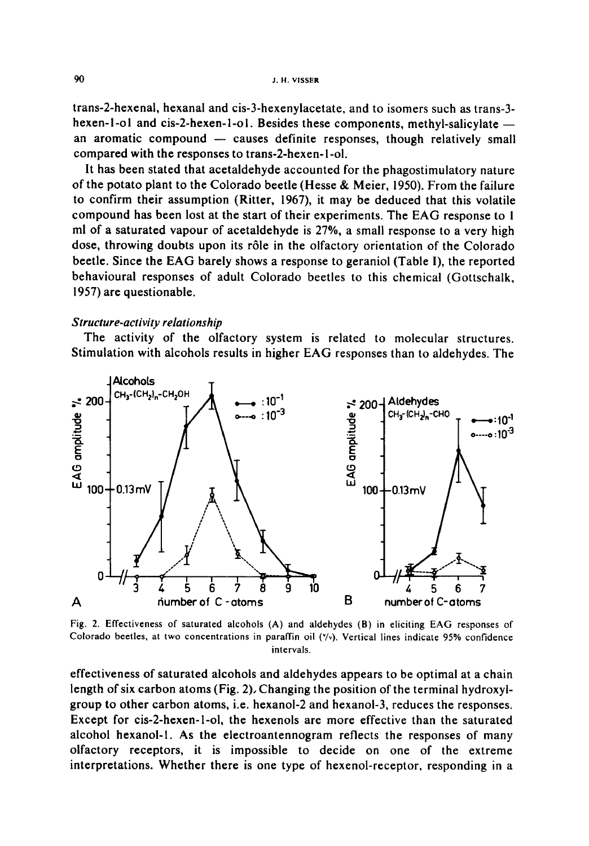trans-2-hexenal, hexanal and cis-3-hexenylacetate, and to isomers such as trans-3 hexen- $1$ -ol and cis-2-hexen- $1$ -ol. Besides these components, methyl-salicylate  $$ an aromatic compound  $-$  causes definite responses, though relatively small compared with the responses to trans-2-hexen-l-ol.

It has been stated that acetaldehyde accounted for the phagostimulatory nature of the potato plant to the Colorado beetle (Hesse & Meier, 1950). From the failure to confirm their assumption (Ritter, 1967), it may be deduced that this volatile compound has been lost at the start of their experiments. The EAG response to I ml of a saturated vapour of acetaldehyde is 27%, a small response to a very high dose, throwing doubts upon its rôle in the olfactory orientation of the Colorado beetle. Since the EAG barely shows a response to geraniol (Table I), the reported behavioural responses of adult Colorado beetles to this chemical (Gottschalk, 1957) are questionable.

#### *Structure-activity relationship*

The activity of the olfactory system is related to molecular structures. Stimulation with alcohols results in higher EAG responses than to aldehydes. The



Fig. 2. Effectiveness of saturated alcohols (A) and aldehydes (B) in eliciting EAG responses of Colorado beetles, at two concentrations in paraffin oil (\*/v). Vertical lines indicate 95% confidence intervals.

effectiveness of saturated alcohols and aldehydes appears to be optimal at a chain length of six carbon atoms (Fig. 2), Changing the position of the terminal hydroxylgroup to other carbon atoms, i.e. hexanol-2 and hexanoi-3, reduces the responses. Except for cis-2-hexen-l-ol, the hexenols are more effective than the saturated alcohol hexanol-l. As the electroantennogram reflects the responses of many olfactory receptors, it is impossible to decide on one of the extreme interpretations. Whether there is one type of hexenol-receptor, responding in a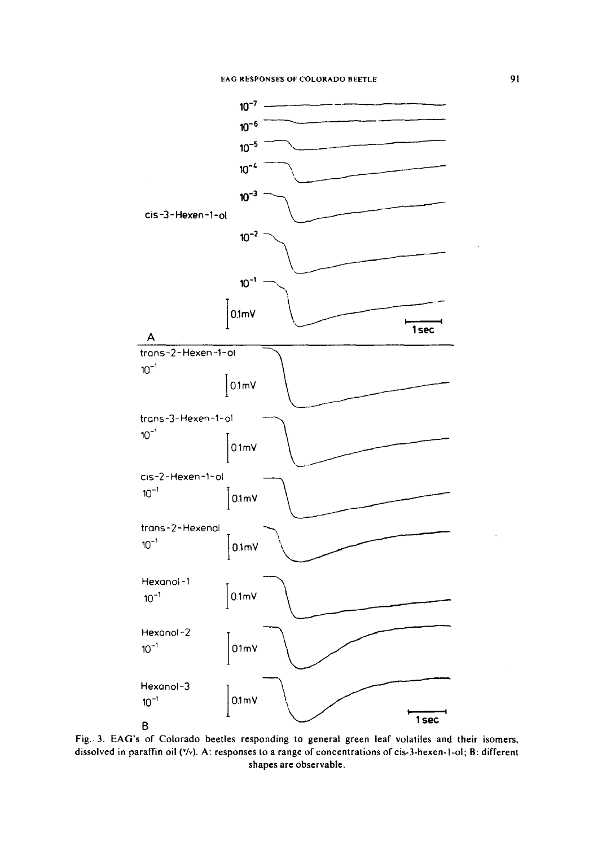

Fig.. 3. EAG's of Colorado beetles responding to general green leaf volatiles and their isomers, dissolved in paraffin oil (\*/v). A: responses to a range of concentrations of cis-3-hexen-1-ol; B: different shapes are observable.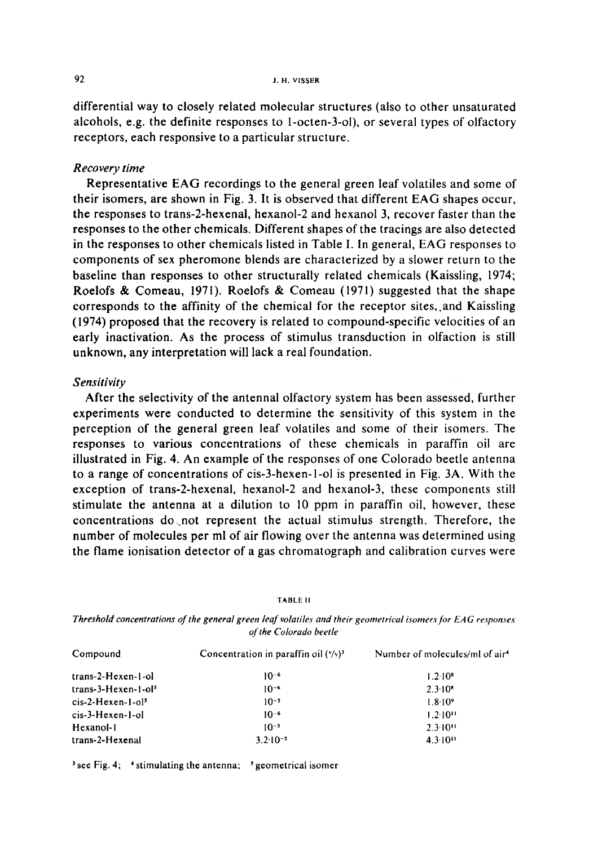differential way to closely related molecular structures (also to other unsaturated alcohols, e.g. the definite responses to l-octen-3-ol), or several types of olfactory receptors, each responsive to a particular structure.

# *Recovery time*

Representative EAG recordings to the general green leaf volatiles and some of their isomers, are shown in Fig. 3. It is observed that different EAG shapes occur, the responses to trans-2-hexenal, hexanol-2 and hexanol 3, recover faster than the responses to the other chemicals. Different shapes of the tracings are also detected in the responses to other chemicals listed in Table I. In general, EAG responses to components of sex pheromone blends are characterized by a slower return to the baseline than responses to other structurally related chemicals (Kaissling, 1974; Roelofs & Comeau, 1971). Roelofs & Comeau (1971) suggested that the shape corresponds to the affinity of the chemical for the receptor sites, and Kaissling (1974) proposed that the recovery is related to compound-specific velocities of an early inactivation. As the process of stimulus transduction in olfaction is still unknown, any interpretation will lack a real foundation,

### *Sensitivity*

After the selectivity of the antennai olfactory system has been assessed, further experiments were conducted to determine the sensitivity of this system in the perception of the general green leaf volatiles and some of their isomers. The responses to various concentrations of these chemicals in paraffin oil are illustrated in Fig. 4. An example of the responses of one Colorado beetle antenna to a range of concentrations of cis-3-hexen-l-ol is presented in Fig. 3A. With the exception of trans-2-hexenal, hexanol-2 and hexanoi-3, these components still stimulate the antenna at a dilution to 10 ppm in paraffin oil, however, these concentrations do.not represent the actual stimulus strength. Therefore, the number of molecules per ml of air flowing over the antenna was determined using the flame ionisation detector of a gas chromatograph and calibration curves were

| of the Colorado beetle |                                                 |                                            |  |  |  |  |
|------------------------|-------------------------------------------------|--------------------------------------------|--|--|--|--|
| Compound               | Concentration in paraffin oil $(\frac{1}{2})^3$ | Number of molecules/ml of air <sup>4</sup> |  |  |  |  |
| trans-2-Hexen-1-ol     | $10^{-6}$                                       | $1.2 \cdot 10^8$                           |  |  |  |  |
| $trans-3-Hexen-1-015$  | 1በ-*                                            | $2.3 \cdot 10^{8}$                         |  |  |  |  |

1.8-109  $1.2 \cdot 10^{11}$ 2.3"10" 4.3"10"

**TABLE II** 

*Threshold concentrations of the general green leaf volatiles and their geometrical isomers for EAG responses* 

 $\frac{3}{5}$  see Fig. 4;  $\frac{4}{5}$  stimulating the antenna;  $\frac{5}{5}$  geometrical isomer

 $cis-2-Hexen-1-ol<sup>5</sup>$  10<sup>-5</sup>  $cis-3-Hexen-1-ol$   $10<sup>-6</sup>$ Hexanol-1  $10^{-5}$  $trans-2-Hexenal$   $3.2 \cdot 10^{-5}$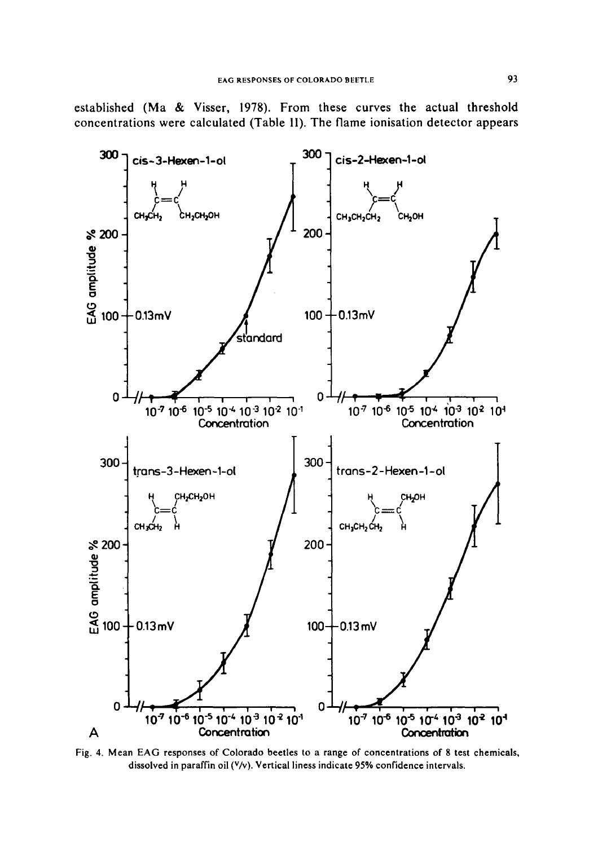established (Ma & Visser, 1978). From these curves the actual threshold concentrations were calculated (Table 11). The flame ionisation detector appears



Fig. 4. Mean EAG responses of Colorado beetles to a range of concentrations of 8 test chemicals, dissolved in paraffin oil (V/v). Vertical liness indicate 95% confidence intervals,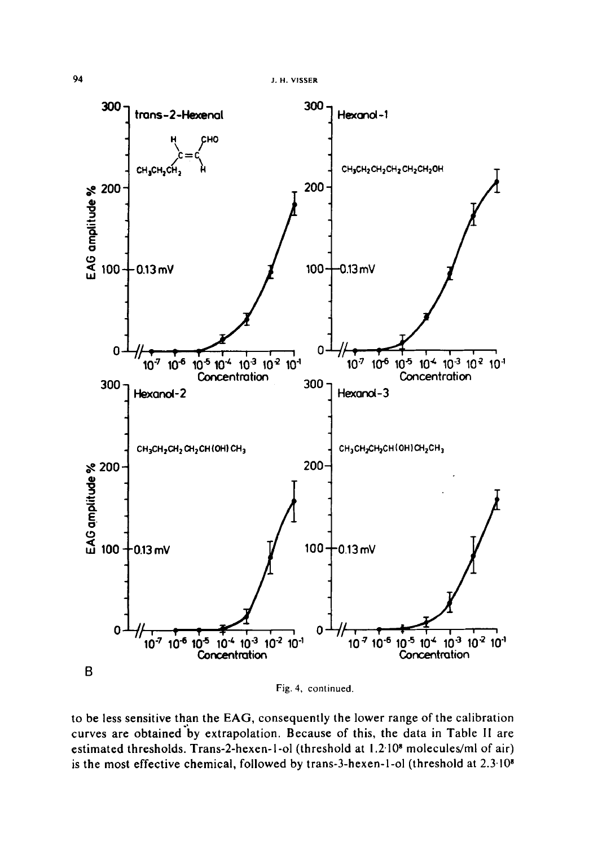

to be less sensitive than the EAG, consequently the lower range of the calibration curves are obtained'by extrapolation. Because of this, the data in Table II are estimated thresholds. Trans-2-hexen-1-ol (threshold at 1.2:10<sup>8</sup> molecules/ml of air) is the most effective chemical, followed by trans-3-hexen-1-ol (threshold at  $2.3 \cdot 10^{8}$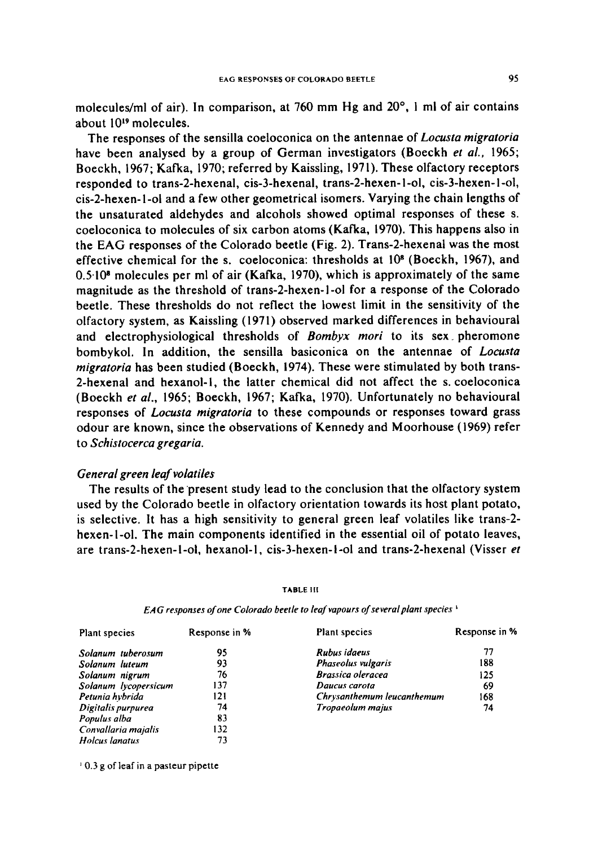molecules/ml of air). In comparison, at 760 mm Hg and  $20^{\circ}$ , 1 ml of air contains about 10<sup>19</sup> molecules.

The responses of the sensilla coeloconica on the antennae of *Locusta migratoria* have been analysed by a group of German investigators (Boeckh *et ai.,* 1965; Boeckh, 1967; Kafka, 1970; referred by Kaissling, 1971). These olfactory receptors responded to trans-2-hexenal, cis-3-hexenal, trans-2-hexen-l-ol, cis-3-hexen-l-ol, cis-2-hexen-1-ol and a few other geometrical isomers. Varying the chain lengths of the unsaturated aldehydes and alcohols showed optimal responses of these s. coeioconica to molecules of six carbon atoms (Kafka, 1970). This happens also in the EAG responses of the Colorado beetle (Fig. 2). Trans-2-hexenal was the most effective chemical for the s. coeloconica: thresholds at  $10<sup>8</sup>$  (Boeckh, 1967), and  $0.5 \cdot 10^8$  molecules per ml of air (Kafka, 1970), which is approximately of the same magnitude as the threshold of trans-2-hexen-l-ol for a response of the Colorado beetle. These thresholds do not reflect the lowest limit in the sensitivity of the olfactory system, as Kaissling (1971) observed marked differences in behavioural and electrophysiological thresholds of *Bombyx mori* to its sex. pheromone bombykol. In addition, the sensilla basiconica on the antennae of *Locusta migratoria* has been studied (Boeckh, 1974). These were stimulated by both trans-2-hexenal and hexanol-l, the latter chemical did not affect the s. coeloconica (Boeckh *et al.,* 1965; Boeckh, 1967; Kafka, 1970). Unfortunately no behavioural responses of *Locusta migratoria* to these compounds or responses toward grass odour are known, since the observations of Kennedy and Moorhouse (1969) refer to *Schistocerca gregaria.* 

# *General green leaf volatiles*

The results of the present study lead to the conclusion that the olfactory system used by the Colorado beetle in olfactory orientation towards its host plant potato, is selective. It has a high sensitivity to general green leaf volatiles like trans-2 hexen-i-ol. The main components identified in the essential oil of potato leaves, are trans-2-hexen-l-ol, hexanol-l, cis-3-hexen-l-ol and trans-2-hexenal (Visser *et* 

#### **TABLE** Ill

| Plant species        | Response in % | Plant species              | Response in % |
|----------------------|---------------|----------------------------|---------------|
| Solanum tuberosum    | 95            | Rubus idaeus               | 77            |
| Solanum luteum       | 93            | Phaseolus vulgaris         | 188           |
| Solanum nigrum       | 76            | <b>Brassica oleracea</b>   | 125           |
| Solanum lycopersicum | 137           | Daucus carota              | 69            |
| Petunia hybrida      | 121           | Chrysanthemum leucanthemum | 168           |
| Digitalis purpurea   | 74            | Tropaeolum majus           | 74            |
| Populus alba         | 83            |                            |               |
| Convallaria majalis  | 132           |                            |               |
| Holcus lanatus       | 73            |                            |               |

*EA G responses of one Colorado beetle to leaf vapours of several plant species* 

0,3 g of leaf in a pasteur pipette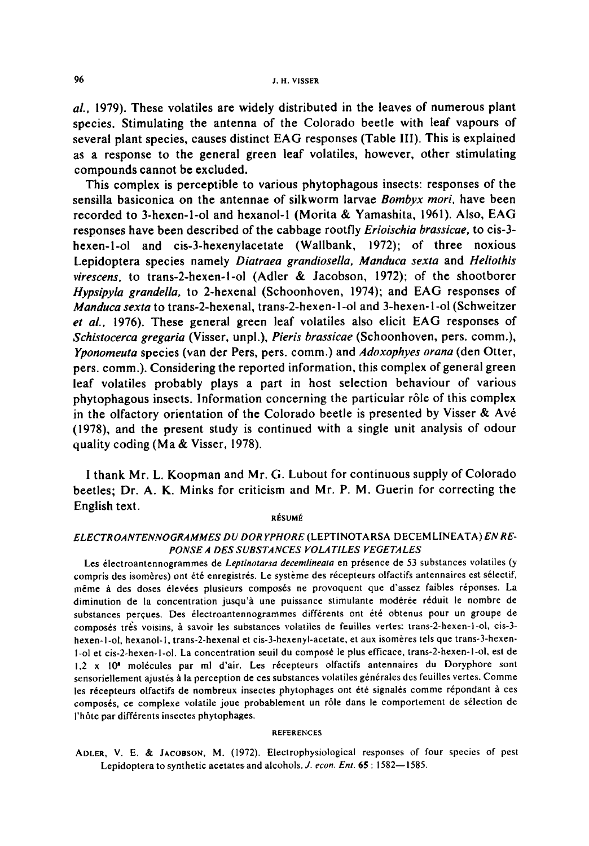*al.,* 1979). These volatiles are widely distributed in the leaves of numerous plant species. Stimulating the antenna of the Colorado beetle with leaf vapours of several plant species, causes distinct EAG responses (Table III). This is explained as a response to the general green leaf volatiles, however, other stimulating compounds cannot be excluded.

This complex is perceptible to various phytophagous insects: responses of the sensilla basiconica on the antennae of silkworm larvae *Bombyx mori,* have been recorded to 3-hexen-l-ol and hexanol-I (Morita & Yamashita, 1961). Also, EAG responses have been described of the cabbage rootfly *Erioischia brassicae,* to cis-3 hexen-l-ol and cis-3-hexenylacetate (Wallbank, 1972); of three noxious Lepidoptera species namely *Diatraea grandiosella, Manduca sexta* and *Heliothis virescens,* to trans-2-hexen-l-ol (Adler & Jacobson, 1972); of the shootborer *Hypsipyla grandella,* to 2-hexenal (Schoonhoven, 1974); and EAG responses of *Manduca sexta* to trans-2-hexenal, trans-2-hexen-l-oi and 3-hexen-l-ol (Schweitzer *et aL,* 1976). These general green leaf volatiles also elicit EAG responses of *Schistocerca gregaria* (Visser, unpl.), *Pieris brassicae* (Schoonhoven, pers. comm.), *Yponomeuta* species (van der Pers, pers. comm.) and *Adoxophyes orana* (den Otter, pers. comm.). Considering the reported information, this complex of general green leaf volatiles probably plays a part in host selection behaviour of various phytophagous insects. Information concerning the particular rôle of this complex in the olfactory orientation of the Colorado beetle is presented by Visser & Av6 (1978), and the present study is continued with a single unit analysis of odour quality coding (Ma & Visser, 1978).

I thank Mr. L. Koopman and Mr. G. Lubout for continuous supply of Colorado beetles; Dr. A. K. Minks for criticism and Mr. P. M. Guerin for correcting the English text.

#### RÉSUMÉ

# *ELECTROANTENNOGRAMMES DU DOR YPHORE* (LEPTINOTARSA DECEMLINEATA) *EN RE-PONSE A DES SUBSTANCES VOLATILES VEGETALES*

Les électroantennogrammes de *Leptinotarsa decemlineata* en présence de 53 substances volatiles (y compris des isomères) ont été enregistrés. Le système des récepteurs olfactifs antennaires est sélectif, même à des doses élevées plusieurs composés ne provoquent que d'assez faibles réponses. La diminution de la concentration jusqu'à une puissance stimulante modérée réduit le nombre de substances perçues. Des électroantennogrammes différents ont été obtenus pour un groupe de composés très voisins, à savoir les substances volatiles de feuilles vertes: trans-2-hexen-l-ol, cis-3hexen-1-ol, hexanol-1, trans-2-hexenal et cis-3-hexenyl-acetate, et aux isomères tels que trans-3-hexen-I-ol et cis-2-hexen-l-ol. La concentration seuil du compost le plus efficace, trans-2-hexen-l-ol, est de 1,2 x 10<sup>8</sup> molécules par ml d'air. Les récepteurs olfactifs antennaires du Doryphore sont sensoriellement ajustés à la perception de ces substances volatiles générales des feuilles vertes. Comme les récepteurs olfactifs de nombreux insectes phytophages ont été signalés comme répondant à ces composés, ce complexe volatile joue probablement un rôle dans le comportement de sélection de l'hôte par différents insectes phytophages.

#### **REFERENCES**

ADLER, V. E. & JACOSSON, M. (1972). Electrophysiological responses of four species of pest Lepidoptera to synthetic acetates and alcohols. *J. econ. Ent.* **65** : 1582-1585.